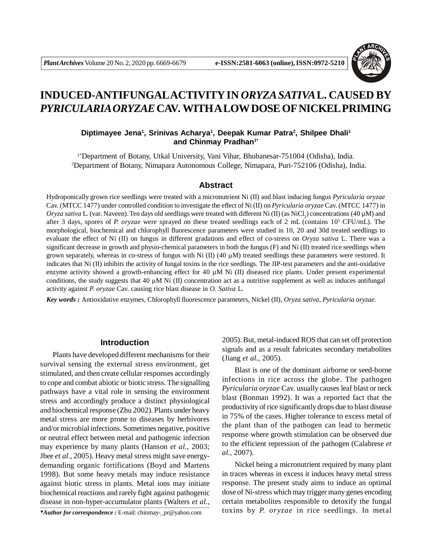

# **INDUCED-ANTIFUNGALACTIVITY IN** *ORYZA SATIVA***L. CAUSED BY** *PYRICULARIA ORYZAE* **CAV***.* **WITH A LOW DOSE OF NICKEL PRIMING**

# **Diptimayee Jena<sup>1</sup> , Srinivas Acharya<sup>1</sup> , Deepak Kumar Patra<sup>2</sup> , Shilpee Dhali<sup>1</sup> and Chinmay Pradhan1\***

1\*Department of Botany, Utkal University, Vani Vihar, Bhubanesar-751004 (Odisha), India. <sup>2</sup>Department of Botany, Nimapara Autonomous College, Nimapara, Puri-752106 (Odisha), India.

### **Abstract**

Hydroponically grown rice seedlings were treated with a micronutrient Ni (II) and blast inducing fungus *Pyricularia oryzae* Cav. (MTCC 1477) under controlled condition to investigate the effect of Ni (II) on *Pyricularia oryzae* Cav. (MTCC 1477) in  $O$ ry*za sativa* L. (var. Naveen). Ten days old seedlings were treated with different Ni (II) (as NiCl<sub>2</sub>) concentrations (40 µM) and after 3 days, spores of *P. oryzae* were sprayed on these treated seedlings each of 2 mL (contains  $10^5$  CFU/mL). The morphological, biochemical and chlorophyll fluorescence parameters were studied in 10, 20 and 30d treated seedlings to evaluate the effect of Ni (II) on fungus in different gradations and effect of co-stress on *Oryza sativa* L. There was a significant decrease in growth and physio-chemical parameters in both the fungus  $(F)$  and  $Ni (II)$  treated rice seedlings when grown separately, whereas in co-stress of fungus with Ni  $(II)$  (40  $\mu$ M) treated seedlings these parameters were restored. It indicates that Ni (II) inhibits the activity of fungal toxins in the rice seedlings. The JIP-test parameters and the anti-oxidative enzyme activity showed a growth-enhancing effect for 40  $\mu$ M Ni (II) diseased rice plants. Under present experimental conditions, the study suggests that 40  $\mu$ M Ni (II) concentration act as a nutritive supplement as well as induces antifungal activity against *P. oryzae* Cav. causing rice blast disease in *O. Sativa* L.

*Key words :* Antioxidative enzymes, Chlorophyll fluorescence parameters, Nickel (II), *Oryza sativa*, *Pyricularia oryzae*.

### **Introduction**

Plants have developed different mechanisms for their survival sensing the external stress environment, get stimulated, and then create cellular responses accordingly to cope and combat abiotic or biotic stress. The signalling pathways have a vital role in sensing the environment stress and accordingly produce a distinct physiological and biochemical response (Zhu 2002). Plants under heavy metal stress are more prone to diseases by herbivores and/or microbial infections. Sometimes negative, positive or neutral effect between metal and pathogenic infection may experience by many plants (Hanson *et al.,* 2003; Jhee *et al.,* 2005). Heavy metal stress might save energydemanding organic fortifications (Boyd and Martens 1998). But some heavy metals may induce resistance against biotic stress in plants. Metal ions may initiate biochemical reactions and rarely fight against pathogenic disease in non-hyper-accumulator plants (Walters *et al.,*

*\*Author for correspondence :* E-mail: chinmay-\_pr@yahoo.com

2005). But, metal-induced ROS that can set off protection signals and as a result fabricates secondary metabolites (Jiang *et al.,* 2005).

Blast is one of the dominant airborne or seed-borne infections in rice across the globe. The pathogen *Pyricularia oryzae* Cav. usually causes leaf blast or neck blast (Bonman 1992). It was a reported fact that the productivity of rice significantly drops due to blast disease in 75% of the cases. Higher tolerance to excess metal of the plant than of the pathogen can lead to hermetic response where growth stimulation can be observed due to the efficient repression of the pathogen (Calabrese *et al.,* 2007).

Nickel being a micronutrient required by many plant in traces whereas in excess it induces heavy metal stress response. The present study aims to induce an optimal dose of Ni-stress which may trigger many genes encoding certain metabolites responsible to detoxify the fungal toxins by *P. oryzae* in rice seedlings. In metal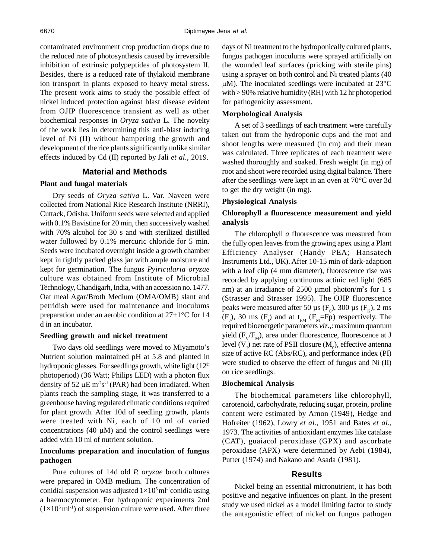contaminated environment crop production drops due to the reduced rate of photosynthesis caused by irreversible inhibition of extrinsic polypeptides of photosystem II. Besides, there is a reduced rate of thylakoid membrane ion transport in plants exposed to heavy metal stress. The present work aims to study the possible effect of nickel induced protection against blast disease evident from OJIP fluorescence transient as well as other biochemical responses in *Oryza sativa* L. The novelty of the work lies in determining this anti-blast inducing level of Ni (II) without hampering the growth and development of the rice plants significantly unlike similar effects induced by Cd (II) reported by Jali *et al.,* 2019.

# **Material and Methods**

### **Plant and fungal materials**

Dry seeds of *Oryza sativa* L. Var. Naveen were collected from National Rice Research Institute (NRRI), Cuttack, Odisha. Uniform seeds were selected and applied with 0.1% Bavistine for 20 min, then successively washed with 70% alcohol for 30 s and with sterilized distilled water followed by 0.1% mercuric chloride for 5 min. Seeds were incubated overnight inside a growth chamber kept in tightly packed glass jar with ample moisture and kept for germination. The fungus *Pyiricularia oryzae* culture was obtained from Institute of Microbial Technology, Chandigarh, India, with an accession no. 1477. Oat meal Agar/Broth Medium (OMA/OMB) slant and petridish were used for maintenance and inoculums preparation under an aerobic condition at 27±1°C for 14 d in an incubator.

#### **Seedling growth and nickel treatment**

Two days old seedlings were moved to Miyamoto's Nutrient solution maintained pH at 5.8 and planted in hydroponic glasses. For seedlings growth, white light  $(12<sup>th</sup>$ photoperiod) (36 Watt; Philips LED) with a photon flux density of 52  $\mu$ E m<sup>-2</sup>s<sup>-1</sup> (PAR) had been irradiated. When plants reach the sampling stage, it was transferred to a greenhouse having regulated climatic conditions required for plant growth. After 10d of seedling growth, plants were treated with Ni, each of 10 ml of varied concentrations (40  $\mu$ M) and the control seedlings were added with 10 ml of nutrient solution.

# **Inoculums preparation and inoculation of fungus pathogen**

Pure cultures of 14d old *P. oryzae* broth cultures were prepared in OMB medium. The concentration of conidial suspension was adjusted  $1\times10^5$  ml<sup>-1</sup>conidia using a haemocytometer. For hydroponic experiments 2ml  $(1\times10^5 \text{ ml-1})$  of suspension culture were used. After three

days of Ni treatment to the hydroponically cultured plants, fungus pathogen inoculums were sprayed artificially on the wounded leaf surfaces (pricking with sterile pins) using a sprayer on both control and Ni treated plants (40  $\mu$ M). The inoculated seedlings were incubated at 23 $\degree$ C with > 90% relative humidity (RH) with 12 hr photoperiod for pathogenicity assessment.

#### **Morphological Analysis**

A set of 3 seedlings of each treatment were carefully taken out from the hydroponic cups and the root and shoot lengths were measured (in cm) and their mean was calculated. Three replicates of each treatment were washed thoroughly and soaked. Fresh weight (in mg) of root and shoot were recorded using digital balance. There after the seedlings were kept in an oven at 70°C over 3d to get the dry weight (in mg).

### **Physiological Analysis**

# **Chlorophyll a fluorescence measurement and yield analysis**

The chlorophyll *a* fluorescence was measured from the fully open leaves from the growing apex using a Plant Efficiency Analyser (Handy PEA; Hansatech Instruments Ltd., UK). After 10-15 min of dark-adaption with a leaf clip (4 mm diameter), fluorescence rise was recorded by applying continuous actinic red light (685 nm) at an irradiance of 2500 µmol photon/m<sup>2</sup>s for 1 s (Strasser and Strasser 1995). The OJIP fluorescence peaks were measured after 50  $\mu$ s (F<sub>0</sub>), 300  $\mu$ s (F<sub>K</sub>), 2 ms  $(F_1)$ , 30 ms  $(F_1)$  and at  $t_{FM}$   $(F_M = Fp)$  respectively. The required bioenergetic parameters *viz.,*: maximum quantum yield  $(F_v/F_M)$ , area under fluorescence, fluorescence at J level  $(V_J)$  net rate of PSII closure  $(M_0)$ , effective antenna size of active RC (Abs/RC), and performance index (PI) were studied to observe the effect of fungus and Ni (II) on rice seedlings.

### **Biochemical Analysis**

The biochemical parameters like chlorophyll, carotenoid, carbohydrate, reducing sugar, protein, proline content were estimated by Arnon (1949), Hedge and Hofreiter (1962), Lowry *et al.*, 1951 and Bates *et al.,* 1973. The activities of antioxidant enzymes like catalase (CAT), guaiacol peroxidase (GPX) and ascorbate peroxidase (APX) were determined by Aebi (1984), Putter (1974) and Nakano and Asada (1981).

### **Results**

Nickel being an essential micronutrient, it has both positive and negative influences on plant. In the present study we used nickel as a model limiting factor to study the antagonistic effect of nickel on fungus pathogen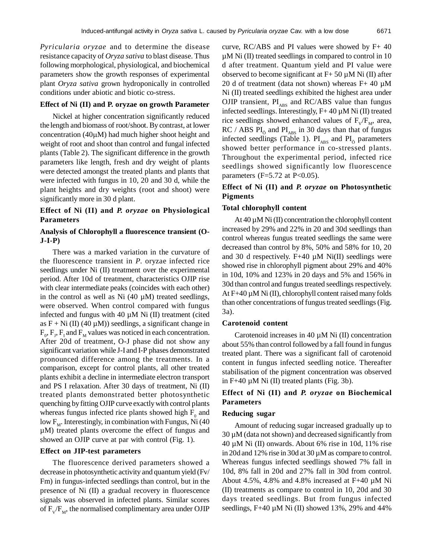*Pyricularia oryzae* and to determine the disease resistance capacity of *Oryza sativa* to blast disease. Thus following morphological, physiological, and biochemical parameters show the growth responses of experimental plant *Oryza sativa* grown hydroponically in controlled conditions under abiotic and biotic co-stress.

### **Effect of Ni (II) and P. oryzae on growth Parameter**

Nickel at higher concentration significantly reduced the length and biomass of root/shoot. By contrast, at lower concentration  $(40\mu M)$  had much higher shoot height and weight of root and shoot than control and fungal infected plants (Table 2). The significant difference in the growth parameters like length, fresh and dry weight of plants were detected amongst the treated plants and plants that were infected with fungus in 10, 20 and 30 d, while the plant heights and dry weights (root and shoot) were significantly more in 30 d plant.

# **Effect of Ni (II) and** *P. oryzae* **on Physiological Parameters**

# **Analysis of Chlorophyll a fluorescence transient (O-J-I-P)**

There was a marked variation in the curvature of the fluorescence transient in *P*. oryzae infected rice seedlings under Ni (II) treatment over the experimental period. After 10d of treatment, characteristics OJIP rise with clear intermediate peaks (coincides with each other) in the control as well as Ni  $(40 \mu M)$  treated seedlings, were observed. When control compared with fungus infected and fungus with 40  $\mu$ M Ni (II) treatment (cited as  $F + Ni (II) (40 \mu M)$  seedlings, a significant change in  $F_0$ ,  $F_1$ ,  $F_1$  and  $F_M$  values was noticed in each concentration. After 20d of treatment, O-J phase did not show any significant variation while J-I and I-P phases demonstrated pronounced difference among the treatments. In a comparison, except for control plants, all other treated plants exhibit a decline in intermediate electron transport and PS I relaxation. After 30 days of treatment, Ni (II) treated plants demonstrated better photosynthetic quenching by fitting OJIP curve exactly with control plants whereas fungus infected rice plants showed high  $F_0$  and low  $\mathrm{F}_{\scriptscriptstyle{\mathrm{M}}}$ . Interestingly, in combination with Fungus, Ni (40 µM) treated plants overcome the effect of fungus and showed an OJIP curve at par with control (Fig. 1).

#### **Effect on JIP-test parameters**

The fluorescence derived parameters showed a decrease in photosynthetic activity and quantum yield (Fv/ Fm) in fungus-infected seedlings than control, but in the presence of Ni (II) a gradual recovery in fluorescence signals was observed in infected plants. Similar scores of  $F_v/F_m$ , the normalised complimentary area under OJIP curve, RC/ABS and PI values were showed by F+ 40 µM Ni (II) treated seedlings in compared to control in 10 d after treatment. Quantum yield and PI value were observed to become significant at  $F+50 \mu M$  Ni (II) after 20 d of treatment (data not shown) whereas  $F+40 \mu M$ Ni (II) treated seedlings exhibited the highest area under OJIP transient,  $PI_{ABS}$  and RC/ABS value than fungus infected seedlings. Interestingly,  $F+40 \mu M$  Ni (II) treated rice seedlings showed enhanced values of  $F_v/F_m$ , area,  $RC / ABS Pl<sub>o</sub>$  and  $PI<sub>ABS</sub>$  in 30 days than that of fungus infected seedlings (Table 1).  $PI<sub>ABS</sub>$  and  $PI<sub>ō</sub>$  parameters showed better performance in co-stressed plants. Throughout the experimental period, infected rice seedlings showed significantly low fluorescence parameters ( $F=5.72$  at P $<0.05$ ).

# **Effect of Ni (II) and** *P. oryzae* **on Photosynthetic Pigments**

#### **Total chlorophyll content**

At 40  $\mu$ M Ni (II) concentration the chlorophyll content increased by 29% and 22% in 20 and 30d seedlings than control whereas fungus treated seedlings the same were decreased than control by 8%, 50% and 58% for 10, 20 and 30 d respectively.  $F+40 \mu M$  Ni(II) seedlings were showed rise in chlorophyll pigment about 29% and 40% in 10d, 10% and 123% in 20 days and 5% and 156% in 30d than control and fungus treated seedlings respectively. At F+40 µM Ni (II), chlorophyll content raised many folds than other concentrations of fungus treated seedlings (Fig. 3a).

### **Carotenoid content**

Carotenoid increases in 40 µM Ni (II) concentration about 55% than control followed by a fall found in fungus treated plant. There was a significant fall of carotenoid content in fungus infected seedling notice. Thereafter stabilisation of the pigment concentration was observed in F+40 µM Ni (II) treated plants (Fig. 3b).

# **Effect of Ni (II) and** *P. oryzae* **on Biochemical Parameters**

### **Reducing sugar**

Amount of reducing sugar increased gradually up to 30 µM (data not shown) and decreased significantly from 40 µM Ni (II) onwards. About 6% rise in 10d, 11% rise in 20d and 12% rise in 30d at 30 µM as compare to control. Whereas fungus infected seedlings showed 7% fall in 10d, 8% fall in 20d and 27% fall in 30d from control. About 4.5%, 4.8% and 4.8% increased at F+40 µM Ni (II) treatments as compare to control in 10, 20d and 30 days treated seedlings. But from fungus infected seedlings,  $F+40 \mu M$  Ni (II) showed 13%, 29% and 44%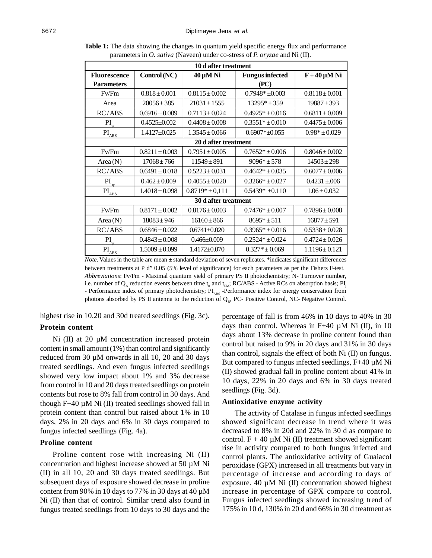| 10 d after treatment                 |                    |                     |                        |                    |  |  |  |  |
|--------------------------------------|--------------------|---------------------|------------------------|--------------------|--|--|--|--|
| <b>Fluorescence</b>                  | Control (NC)       | $40 \mu M$ Ni       | <b>Fungus infected</b> | $F + 40 \mu M$ Ni  |  |  |  |  |
| <b>Parameters</b>                    |                    |                     | (PC)                   |                    |  |  |  |  |
| Fv/Fm                                | $0.818 \pm 0.001$  | $0.8115 \pm 0.002$  | $0.7948* + 0.003$      | $0.8118 \pm 0.001$ |  |  |  |  |
| Area                                 | $20056 \pm 385$    | $21031 \pm 1555$    | $13295* + 359$         | $19887 \pm 393$    |  |  |  |  |
| RC/ABS                               | $0.6916 \pm 0.009$ | $0.7113 \pm 0.024$  | $0.4925* \pm 0.016$    | $0.6811 \pm 0.009$ |  |  |  |  |
| PI                                   | $0.4525 \pm 0.002$ | $0.4408 \pm 0.008$  | $0.3551* \pm 0.010$    | $0.4475 \pm 0.006$ |  |  |  |  |
| $\text{PI}_{\underline{\text{ABS}}}$ | $1.4127 \pm 0.025$ | $1.3545 \pm 0.066$  | $0.6907* \pm 0.055$    | $0.98* \pm 0.029$  |  |  |  |  |
| 20 d after treatment                 |                    |                     |                        |                    |  |  |  |  |
| Fv/Fm                                | $0.8211 \pm 0.003$ | $0.7951 \pm 0.005$  | $0.7652* \pm 0.006$    | $0.8046 \pm 0.002$ |  |  |  |  |
| Area $(N)$                           | $17068 \pm 766$    | $11549 \pm 891$     | $9096* + 578$          | $14503 \pm 298$    |  |  |  |  |
| RC/ABS                               | $0.6491 \pm 0.018$ | $0.5223 \pm 0.031$  | $0.4642* \pm 0.035$    | $0.6077 \pm 0.006$ |  |  |  |  |
| PI<br>้น                             | $0.462 \pm 0.009$  | $0.4055 \pm 0.020$  | $0.3266* \pm 0.027$    | $0.4231 \pm 0.06$  |  |  |  |  |
| $\overline{PI}_{\underline{ABS}}$    | $1.4018 \pm 0.098$ | $0.8719* \pm 0.111$ | $0.5439* +0.110$       | $1.06 \pm 0.032$   |  |  |  |  |
| 30 d after treatment                 |                    |                     |                        |                    |  |  |  |  |
| Fv/Fm                                | $0.8171 \pm 0.002$ | $0.8176 \pm 0.003$  | $0.7476* \pm 0.007$    | $0.7896 \pm 0.008$ |  |  |  |  |
| Area $(N)$                           | $18083 \pm 946$    | $16160 \pm 866$     | $8695* + 511$          | $16877 \pm 591$    |  |  |  |  |
| RC/ABS                               | $0.6846 \pm 0.022$ | $0.6741 \pm 0.020$  | $0.3965* \pm 0.016$    | $0.5338 \pm 0.028$ |  |  |  |  |
| PI                                   | $0.4843 \pm 0.008$ | $0.466 \pm 0.009$   | $0.2524* \pm 0.024$    | $0.4724 \pm 0.026$ |  |  |  |  |
| $\text{PI}_{\text{ABS}}$             | $1.5009 \pm 0.099$ | 1.4172±0.070        | $0.327* \pm 0.069$     | $1.1196 \pm 0.121$ |  |  |  |  |

**Table 1:** The data showing the changes in quantum yield specific energy flux and performance parameters in *O. sativa* (Naveen) under co-stress of *P. oryzae* and Ni (II).

*Note*. Values in the table are mean  $\pm$  standard deviation of seven replicates. \*indicates significant differences between treatments at P d" 0.05 (5% level of significance) for each parameters as per the Fishers F-test. *Abbreviations*: Fv/Fm - Maximal quantum yield of primary PS II photochemistry; N- Turnover number, i.e. number of  $Q_A$  reduction events between time  $t_0$  and  $t_{FM}$ ; RC/ABS - Active RCs on absorption basis; PI - Performance index of primary photochemistry;  $PI_{ABC}$  -Performance index for energy conservation from photons absorbed by PS II antenna to the reduction of  $Q_{B}$ , PC- Positive Control, NC- Negative Control.

highest rise in 10,20 and 30d treated seedlings (Fig. 3c).

# **Protein content**

Ni (II) at 20 µM concentration increased protein content in small amount (1%) than control and significantly reduced from  $30 \mu M$  onwards in all 10, 20 and 30 days treated seedlings. And even fungus infected seedlings showed very low impact about 1% and 3% decrease from control in 10 and 20 days treated seedlings on protein contents but rose to 8% fall from control in 30 days. And though  $F+40 \mu M$  Ni (II) treated seedlings showed fall in protein content than control but raised about 1% in 10 days, 2% in 20 days and 6% in 30 days compared to fungus infected seedlings (Fig. 4a).

### **Proline content**

Proline content rose with increasing Ni (II) concentration and highest increase showed at 50 µM Ni (II) in all 10, 20 and 30 days treated seedlings. But subsequent days of exposure showed decrease in proline content from 90% in 10 days to 77% in 30 days at 40  $\mu$ M Ni (II) than that of control. Similar trend also found in fungus treated seedlings from 10 days to 30 days and the percentage of fall is from 46% in 10 days to 40% in 30 days than control. Whereas in  $F+40 \mu M$  Ni (II), in 10 days about 13% decrease in proline content found than control but raised to 9% in 20 days and 31% in 30 days than control, signals the effect of both Ni (II) on fungus. But compared to fungus infected seedlings, F+40 µM Ni (II) showed gradual fall in proline content about 41% in 10 days, 22% in 20 days and 6% in 30 days treated seedlings (Fig. 3d).

### **Antioxidative enzyme activity**

The activity of Catalase in fungus infected seedlings showed significant decrease in trend where it was decreased to 8% in 20d and 22% in 30 d as compare to control.  $F + 40 \mu M$  Ni (II) treatment showed significant rise in activity compared to both fungus infected and control plants. The antioxidative activity of Guaiacol peroxidase (GPX) increased in all treatments but vary in percentage of increase and according to days of exposure. 40  $\mu$ M Ni (II) concentration showed highest increase in percentage of GPX compare to control. Fungus infected seedlings showed increasing trend of 175% in 10 d, 130% in 20 d and 66% in 30 d treatment as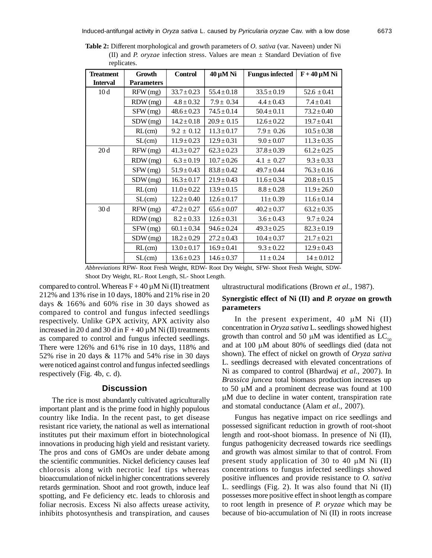| <b>Treatment</b> | Growth            | <b>Control</b>  | $40 \mu M$ Ni   | <b>Fungus infected</b> | $F + 40 \mu M$ Ni |  |
|------------------|-------------------|-----------------|-----------------|------------------------|-------------------|--|
| <b>Interval</b>  | <b>Parameters</b> |                 |                 |                        |                   |  |
| 10d              | RFW(mg)           | $33.7 \pm 0.23$ | $55.4 \pm 0.18$ | $33.5 \pm 0.19$        | $52.6 \pm 0.41$   |  |
|                  | $RDW$ $(mg)$      | $4.8 \pm 0.32$  | $7.9 \pm 0.34$  | $4.4 \pm 0.43$         | $7.4 \pm 0.41$    |  |
|                  | SFW(mg)           | $48.6 \pm 0.23$ | $74.5 \pm 0.14$ | $50.4 \pm 0.11$        | $73.2 \pm 0.40$   |  |
|                  | SDW(mg)           | $14.2 \pm 0.18$ | $20.9 \pm 0.15$ | $12.6 \pm 0.22$        | $19.7 \pm 0.41$   |  |
|                  | RL(cm)            | $9.2 \pm 0.12$  | $11.3 \pm 0.17$ | $7.9 \pm 0.26$         | $10.5 \pm 0.38$   |  |
|                  | SL(cm)            | $11.9 \pm 0.23$ | $12.9 \pm 0.31$ | $9.0 \pm 0.07$         | $11.3 \pm 0.35$   |  |
| 20d              | RFW(mg)           | $41.3 \pm 0.27$ | $62.3 \pm 0.23$ | $37.8 \pm 0.39$        | $61.2 \pm 0.25$   |  |
|                  | RDW (mg)          | $6.3 \pm 0.19$  | $10.7 \pm 0.26$ | $4.1 \pm 0.27$         | $9.3 \pm 0.33$    |  |
|                  | SFW (mg)          | $51.9 \pm 0.43$ | $83.8 \pm 0.42$ | $49.7 \pm 0.44$        | $76.3 \pm 0.16$   |  |
|                  | SDW(mg)           | $16.3 \pm 0.17$ | $21.9 \pm 0.43$ | $11.6 \pm 0.34$        | $20.8 \pm 0.15$   |  |
|                  | RL(cm)            | $11.0 \pm 0.22$ | $13.9 \pm 0.15$ | $8.8\pm0.28$           | $11.9 \pm 26.0$   |  |
|                  | SL(cm)            | $12.2 \pm 0.40$ | $12.6 \pm 0.17$ | $11 \pm 0.39$          | $11.6 \pm 0.14$   |  |
| 30d              | RFW(mg)           | $47.2 \pm 0.27$ | $65.6 \pm 0.07$ | $40.2 \pm 0.37$        | $63.2 \pm 0.35$   |  |
|                  | RDW (mg)          | $8.2 \pm 0.33$  | $12.6 \pm 0.31$ | $3.6 \pm 0.43$         | $9.7 \pm 0.24$    |  |
|                  | SFW (mg)          | $60.1 \pm 0.34$ | $94.6 \pm 0.24$ | $49.3 \pm 0.25$        | $82.3 \pm 0.19$   |  |
|                  | SDW(mg)           | $18.2 \pm 0.29$ | $27.2 \pm 0.43$ | $10.4 \pm 0.37$        | $21.7 \pm 0.21$   |  |
|                  | RL(cm)            | $13.0 \pm 0.17$ | $16.9 \pm 0.41$ | $9.3 \pm 0.22$         | $12.9 \pm 0.43$   |  |
|                  | SL(cm)            | $13.6 \pm 0.23$ | $14.6 \pm 0.37$ | $11 \pm 0.24$          | $14 \pm 0.012$    |  |

**Table 2:** Different morphological and growth parameters of *O. sativa* (var. Naveen) under Ni (II) and *P. oryzae* infection stress. Values are mean ± Standard Deviation of five replicates.

*Abbreviations* RFW- Root Fresh Weight, RDW- Root Dry Weight, SFW- Shoot Fresh Weight, SDW-Shoot Dry Weight, RL- Root Length, SL- Shoot Length.

compared to control. Whereas  $F + 40 \mu M$  Ni (II) treatment 212% and 13% rise in 10 days, 180% and 21% rise in 20 days & 166% and 60% rise in 30 days showed as compared to control and fungus infected seedlings respectively. Unlike GPX activity, APX activity also increased in 20 d and 30 d in  $F + 40 \mu M$  Ni (II) treatments as compared to control and fungus infected seedlings. There were 126% and 61% rise in 10 days, 118% and 52% rise in 20 days & 117% and 54% rise in 30 days were noticed against control and fungus infected seedlings respectively (Fig. 4b, c. d).

### **Discussion**

The rice is most abundantly cultivated agriculturally important plant and is the prime food in highly populous country like India. In the recent past, to get disease resistant rice variety, the national as well as international institutes put their maximum effort in biotechnological innovations in producing high yield and resistant variety. The pros and cons of GMOs are under debate among the scientific communities. Nickel deficiency causes leaf chlorosis along with necrotic leaf tips whereas bioaccumulation of nickel in higher concentrations severely retards germination. Shoot and root growth, induce leaf spotting, and Fe deficiency etc. leads to chlorosis and foliar necrosis. Excess Ni also affects urease activity, inhibits photosynthesis and transpiration, and causes

ultrastructural modifications (Brown *et al.,* 1987).

# **Synergistic effect of Ni (II) and** *P. oryzae* **on growth parameters**

In the present experiment,  $40 \mu M$  Ni (II) concentration in *Oryza sativa* L. seedlings showed highest growth than control and 50  $\mu$ M was identified as LC<sub>50</sub> and at 100  $\mu$ M about 80% of seedlings died (data not shown). The effect of nickel on growth of *Oryza sativa* L. seedlings decreased with elevated concentrations of Ni as compared to control (Bhardwaj *et al.,* 2007). In *Brassica juncea* total biomass production increases up to 50  $\mu$ M and a prominent decrease was found at 100 M due to decline in water content, transpiration rate and stomatal conductance (Alam *et al.,* 2007).

Fungus has negative impact on rice seedlings and possessed significant reduction in growth of root-shoot length and root-shoot biomass. In presence of Ni (II), fungus pathogenicity decreased towards rice seedlings and growth was almost similar to that of control. From present study application of 30 to 40  $\mu$ M Ni (II) concentrations to fungus infected seedlings showed positive influences and provide resistance to *O. sativa* L. seedlings (Fig. 2). It was also found that Ni (II) possesses more positive effect in shoot length as compare to root length in presence of *P. oryzae* which may be because of bio-accumulation of Ni (II) in roots increase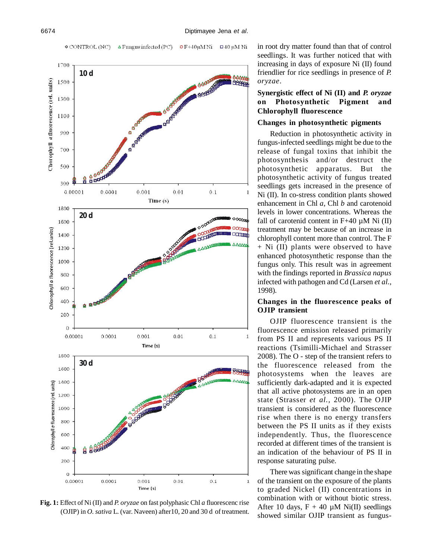$\Delta$  Fungus infected (PC)  $OF+40\mu MNi = 40\mu MNi$  $\circ$  CONTROL (NC)



**Fig. 1:** Effect of Ni (II) and *P. oryzae* on fast polyphasic Chl *a* fluorescenc rise (OJIP) in *O. sativa* L. (var. Naveen) after10, 20 and 30 d of treatment.

in root dry matter found than that of control seedlings. It was further noticed that with increasing in days of exposure Ni (II) found friendlier for rice seedlings in presence of *P. oryzae*.

# **Synergistic effect of Ni (II) and** *P. oryzae* **on Photosynthetic Pigment and Chlorophyll fluorescence**

#### **Changes in photosynthetic pigments**

Reduction in photosynthetic activity in fungus-infected seedlings might be due to the release of fungal toxins that inhibit the photosynthesis and/or destruct the photosynthetic apparatus. But the photosynthetic activity of fungus treated seedlings gets increased in the presence of Ni (II). In co-stress condition plants showed enhancement in Chl *a*, Chl *b* and carotenoid levels in lower concentrations. Whereas the fall of carotenid content in  $F+40 \mu M$  Ni (II) treatment may be because of an increase in chlorophyll content more than control. The F + Ni (II) plants were observed to have enhanced photosynthetic response than the fungus only. This result was in agreement with the findings reported in *Brassica napus* infected with pathogen and Cd (Larsen *et al.,* 1998).

# **Changes in the fluorescence peaks of OJIP transient**

OJIP fluorescence transient is the fluorescence emission released primarily from PS II and represents various PS II reactions (Tsimilli-Michael and Strasser 2008). The O - step of the transient refers to the fluorescence released from the photosystems when the leaves are sufficiently dark-adapted and it is expected that all active photosystems are in an open state (Strasser *et al.,* 2000). The OJIP transient is considered as the fluorescence rise when there is no energy transfers between the PS II units as if they exists independently. Thus, the fluorescence recorded at different times of the transient is an indication of the behaviour of PS II in response saturating pulse.

There was significant change in the shape of the transient on the exposure of the plants to graded Nickel (II) concentrations in combination with or without biotic stress. After 10 days,  $F + 40 \mu M$  Ni(II) seedlings showed similar OJIP transient as fungus-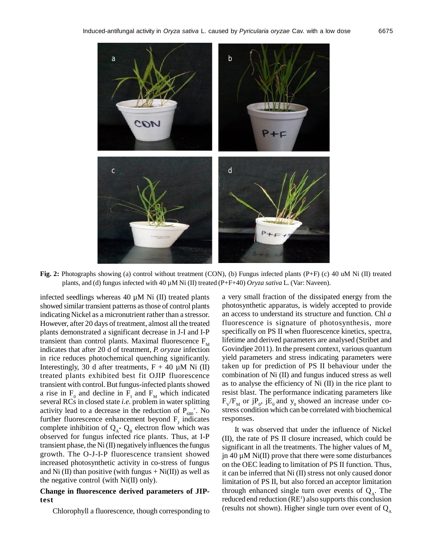

**Fig. 2:** Photographs showing (a) control without treatment (CON), (b) Fungus infected plants (P+F) (c) 40 uM Ni (II) treated plants, and (d) fungus infected with 40 µM Ni (II) treated (P+F+40) *Oryza sativa* L. (Var: Naveen).

infected seedlings whereas  $40 \mu M$  Ni (II) treated plants showed similar transient patterns as those of control plants indicating Nickel as a micronutrient rather than a stressor. However, after 20 days of treatment, almost all the treated plants demonstrated a significant decrease in J-I and I-P transient than control plants. Maximal fluorescence  $F_M$ indicates that after 20 d of treatment, *P. oryzae* infection in rice reduces photochemical quenching significantly. Interestingly, 30 d after treatments,  $F + 40 \mu M$  Ni (II) treated plants exhibited best fit OJIP fluorescence transient with control. But fungus-infected plants showed a rise in  $F_0$  and decline in  $F_1$  and  $F_M$  which indicated several RCs in closed state *i.e.* problem in water splitting activity lead to a decrease in the reduction of  $P_{680}^{\dagger}$ . No further fluorescence enhancement beyond  $F_J$  indicates complete inhibition of  $Q_A$ -  $Q_B$  electron flow which was observed for fungus infected rice plants. Thus, at I-P transient phase, the  $Ni$  (II) negatively influences the fungus growth. The O-J-I-P fluorescence transient showed increased photosynthetic activity in co-stress of fungus and Ni (II) than positive (with fungus  $+$  Ni(II)) as well as the negative control (with Ni(II) only).

### **Change in fluorescence derived parameters of JIPtest**

Chlorophyll a fluorescence, though corresponding to

a very small fraction of the dissipated energy from the photosynthetic apparatus, is widely accepted to provide an access to understand its structure and function. Chl *a* fluorescence is signature of photosynthesis, more specifically on PS II when fluorescence kinetics, spectra, lifetime and derived parameters are analysed (Stribet and Govindjee 2011). In the present context, various quantum yield parameters and stress indicating parameters were taken up for prediction of PS II behaviour under the combination of Ni (II) and fungus induced stress as well as to analyse the efficiency of Ni (II) in the rice plant to resist blast. The performance indicating parameters like  $F_v/F_m$  or j $P_o$ , j $E_o$  and  $y_o$  showed an increase under costress condition which can be correlated with biochemical responses.

It was observed that under the influence of Nickel (II), the rate of PS II closure increased, which could be significant in all the treatments. The higher values of  $M_0$ jn 40  $\mu$ M Ni(II) prove that there were some disturbances on the OEC leading to limitation of PS II function. Thus, it can be inferred that Ni (II) stress not only caused donor limitation of PS II, but also forced an acceptor limitation through enhanced single turn over events of  $Q_A$ . The reduced end reduction (RE<sup>1</sup>) also supports this conclusion (results not shown). Higher single turn over event of  $Q_{\rm A}$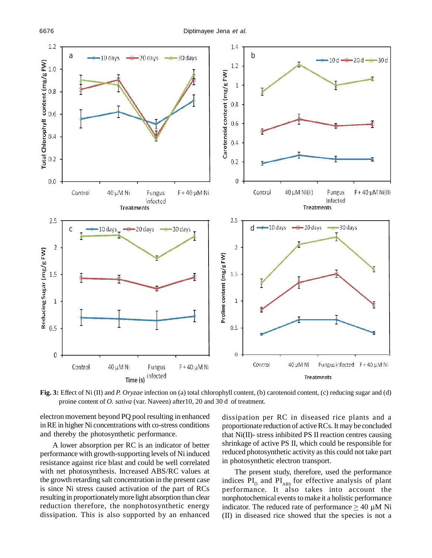

**Fig. 3:** Effect of Ni (II) and *P. Oryzae* infection on (a) total chlorophyll content, (b) carotenoid content, (c) reducing sugar and (d) proine content of *O. sativa* (var. Naveen) after10, 20 and 30 d of treatment.

electron movement beyond PQ pool resulting in enhanced in RE in higher Ni concentrations with co-stress conditions and thereby the photosynthetic performance.

A lower absorption per RC is an indicator of better performance with growth-supporting levels of Ni induced resistance against rice blast and could be well correlated with net photosynthesis. Increased ABS/RC values at the growth retarding salt concentration in the present case is since Ni stress caused activation of the part of RCs resulting in proportionately more light absorption than clear reduction therefore, the nonphotosynthetic energy dissipation. This is also supported by an enhanced dissipation per RC in diseased rice plants and a proportionate reduction of active RCs. It may be concluded that Ni(II)- stress inhibited PS II reaction centres causing shrinkage of active PS II, which could be responsible for reduced photosynthetic activity as this could not take part in photosynthetic electron transport.

The present study, therefore, used the performance indices  $PI_{\delta}$  and  $PI_{\text{ABS}}$  for effective analysis of plant performance. It also takes into account the nonphotochemical events to make it a holistic performance indicator. The reduced rate of performance  $\geq 40 \mu M$  Ni (II) in diseased rice showed that the species is not a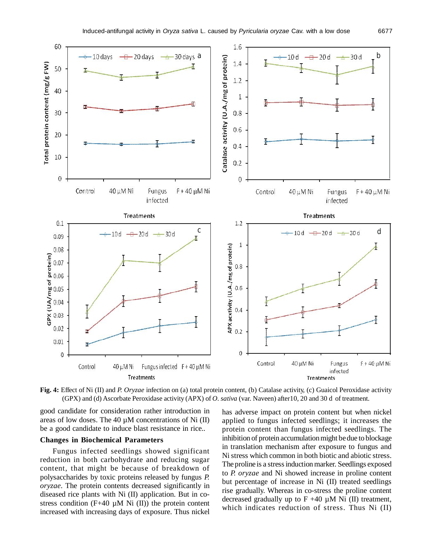

**Fig. 4:** Effect of Ni (II) and *P. Oryzae* infection on (a) total protein content, (b) Catalase activity, (c) Guaicol Peroxidase activity (GPX) and (d) Ascorbate Peroxidase activity (APX) of *O. sativa* (var. Naveen) after10, 20 and 30 d of treatment.

good candidate for consideration rather introduction in areas of low doses. The 40  $\mu$ M concentrations of Ni (II) be a good candidate to induce blast resistance in rice..

# **Changes in Biochemical Parameters**

Fungus infected seedlings showed significant reduction in both carbohydrate and reducing sugar content, that might be because of breakdown of polysaccharides by toxic proteins released by fungus *P. oryzae*. The protein contents decreased significantly in diseased rice plants with Ni (II) application. But in costress condition (F+40  $\mu$ M Ni (II)) the protein content increased with increasing days of exposure. Thus nickel has adverse impact on protein content but when nickel applied to fungus infected seedlings; it increases the protein content than fungus infected seedlings. The inhibition of protein accumulation might be due to blockage in translation mechanism after exposure to fungus and Ni stress which common in both biotic and abiotic stress. The proline is a stress induction marker. Seedlings exposed to *P. oryzae* and Ni showed increase in proline content but percentage of increase in Ni (II) treated seedlings rise gradually. Whereas in co-stress the proline content decreased gradually up to  $F +40 \mu M$  Ni (II) treatment, which indicates reduction of stress. Thus Ni (II)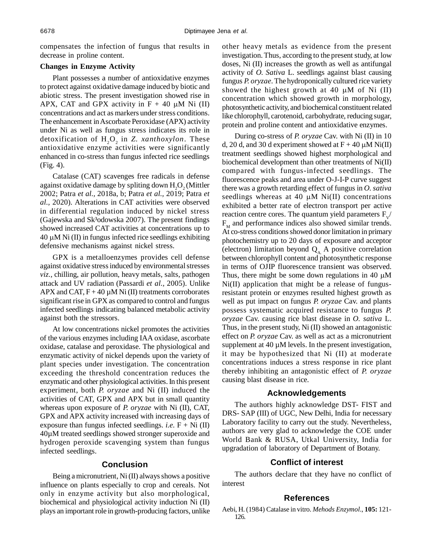compensates the infection of fungus that results in decrease in proline content.

#### **Changes in Enzyme Activity**

Plant possesses a number of antioxidative enzymes to protect against oxidative damage induced by biotic and abiotic stress. The present investigation showed rise in APX, CAT and GPX activity in  $F + 40 \mu M$  Ni (II) concentrations and act as markers under stress conditions. The enhancement in Ascorbate Peroxidase (APX) activity under Ni as well as fungus stress indicates its role in detoxification of  $H_2O_2$  in *Z. xanthoxylon*. These antioxidative enzyme activities were significantly enhanced in co-stress than fungus infected rice seedlings (Fig. 4).

Catalase (CAT) scavenges free radicals in defense against oxidative damage by spliting down  $H<sub>2</sub>O<sub>2</sub>$  (Mittler 2002; Patra *et al.,* 2018a, b; Patra *et al.,* 2019; Patra *et al.,* 2020). Alterations in CAT activities were observed in differential regulation induced by nickel stress (Gajewska and Sk<sup>3</sup>odowska 2007). The present findings showed increased CAT activities at concentrations up to  $40 \mu$ M Ni (II) in fungus infected rice seedlings exhibiting defensive mechanisms against nickel stress.

GPX is a metalloenzymes provides cell defense against oxidative stress induced by environmental stresses *viz.,* chilling, air pollution, heavy metals, salts, pathogen attack and UV radiation (Passardi *et al.,* 2005). Unlike APX and CAT,  $F + 40 \mu M$  Ni (II) treatments corroborates significant rise in GPX as compared to control and fungus infected seedlings indicating balanced metabolic activity against both the stressors.

At low concentrations nickel promotes the activities of the various enzymes including IAA oxidase, ascorbate oxidase, catalase and peroxidase. The physiological and enzymatic activity of nickel depends upon the variety of plant species under investigation. The concentration exceeding the threshold concentration reduces the enzymatic and other physiological activities. In this present experiment, both *P. oryzae* and Ni (II) induced the activities of CAT, GPX and APX but in small quantity whereas upon exposure of *P. oryzae* with Ni (II), CAT, GPX and APX activity increased with increasing days of exposure than fungus infected seedlings. *i.e.*  $F + Ni$  (II) 40µM treated seedlings showed stronger superoxide and hydrogen peroxide scavenging system than fungus infected seedlings.

# **Conclusion**

Being a micronutrient, Ni (II) always shows a positive influence on plants especially to crop and cereals. Not only in enzyme activity but also morphological, biochemical and physiological activity induction Ni (II) plays an important role in growth-producing factors, unlike other heavy metals as evidence from the present investigation. Thus, according to the present study, at low doses, Ni (II) increases the growth as well as antifungal activity of *O. Sativa* L. seedlings against blast causing fungus *P. oryzae*. The hydroponically cultured rice variety showed the highest growth at 40  $\mu$ M of Ni (II) concentration which showed growth in morphology, photosynthetic activity, and biochemical constituent related like chlorophyll, carotenoid, carbohydrate, reducing sugar, protein and proline content and antioxidative enzymes.

During co-stress of *P. oryzae* Cav. with Ni (II) in 10 d, 20 d, and 30 d experiment showed at  $F + 40 \mu M$  Ni(II) treatment seedlings showed highest morphological and biochemical development than other treatments of Ni(II) compared with fungus-infected seedlings. The fluorescence peaks and area under O-J-I-P curve suggest there was a growth retarding effect of fungus in *O. sativa* seedlings whereas at 40  $\mu$ M Ni(II) concentrations exhibited a better rate of electron transport per active reaction centre cores. The quantum yield parameters  $F_v$  $F<sub>M</sub>$  and performance indices also showed similar trends. At co-stress conditions showed donor limitation in primary photochemistry up to 20 days of exposure and acceptor (electron) limitation beyond  $Q_A$  A positive correlation between chlorophyll content and photosynthetic response in terms of OJIP fluorescence transient was observed. Thus, there might be some down regulations in 40  $\mu$ M Ni(II) application that might be a release of fungusresistant protein or enzymes resulted highest growth as well as put impact on fungus *P. oryzae* Cav. and plants possess systematic acquired resistance to fungus *P. oryzae* Cav. causing rice blast disease in *O. sativa* L. Thus, in the present study, Ni (II) showed an antagonistic effect on *P. oryzae* Cav. as well as act as a micronutrient supplement at  $40 \mu$ M levels. In the present investigation, it may be hypothesized that Ni (II) at moderate concentrations induces a stress response in rice plant thereby inhibiting an antagonistic effect of *P. oryzae* causing blast disease in rice.

### **Acknowledgements**

The authors highly acknowledge DST- FIST and DRS- SAP (III) of UGC, New Delhi, India for necessary Laboratory facility to carry out the study. Nevertheless, authors are very glad to acknowledge the COE under World Bank & RUSA, Utkal University, India for upgradation of laboratory of Department of Botany.

### **Conflict of interest**

The authors declare that they have no conflict of interest

#### **References**

Aebi, H. (1984) Catalase in vitro. *Mehods Enzymol*., **105:** 121- 126.